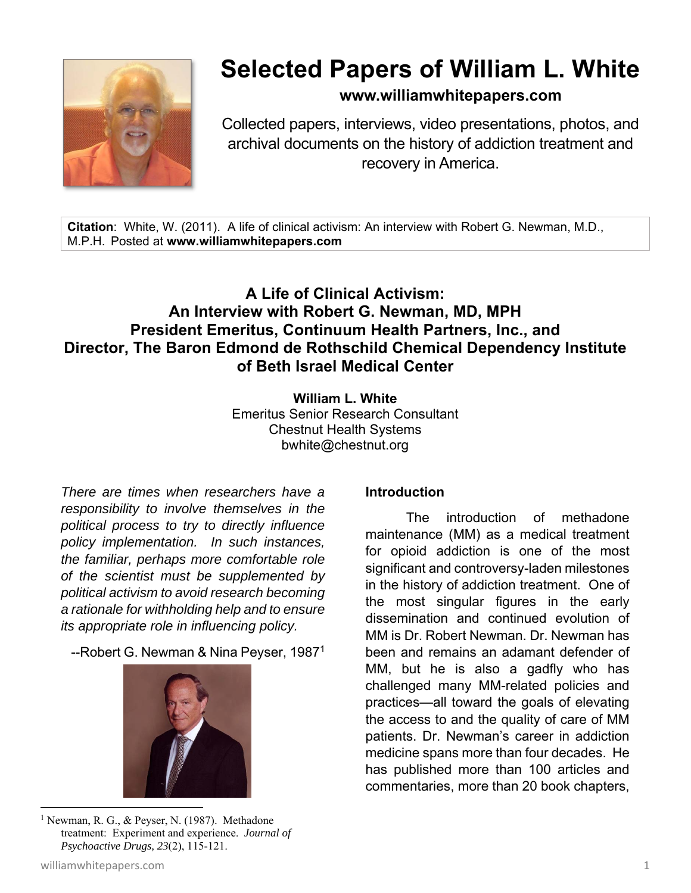

# **Selected Papers of William L. White**

**www.williamwhitepapers.com**

Collected papers, interviews, video presentations, photos, and archival documents on the history of addiction treatment and recovery in America.

**Citation**: White, W. (2011). A life of clinical activism: An interview with Robert G. Newman, M.D., M.P.H. Posted at **www.williamwhitepapers.com** 

## **A Life of Clinical Activism: An Interview with Robert G. Newman, MD, MPH President Emeritus, Continuum Health Partners, Inc., and Director, The Baron Edmond de Rothschild Chemical Dependency Institute of Beth Israel Medical Center**

**William L. White**  Emeritus Senior Research Consultant Chestnut Health Systems bwhite@chestnut.org

*There are times when researchers have a responsibility to involve themselves in the political process to try to directly influence policy implementation. In such instances, the familiar, perhaps more comfortable role of the scientist must be supplemented by political activism to avoid research becoming a rationale for withholding help and to ensure its appropriate role in influencing policy.* 

--Robert G. Newman & Nina Peyser, 19871



#### <sup>1</sup> Newman, R. G., & Peyser, N. (1987). Methadone treatment: Experiment and experience. *Journal of Psychoactive Drugs, 23*(2), 115-121.

#### **Introduction**

 The introduction of methadone maintenance (MM) as a medical treatment for opioid addiction is one of the most significant and controversy-laden milestones in the history of addiction treatment. One of the most singular figures in the early dissemination and continued evolution of MM is Dr. Robert Newman. Dr. Newman has been and remains an adamant defender of MM, but he is also a gadfly who has challenged many MM-related policies and practices—all toward the goals of elevating the access to and the quality of care of MM patients. Dr. Newman's career in addiction medicine spans more than four decades. He has published more than 100 articles and commentaries, more than 20 book chapters,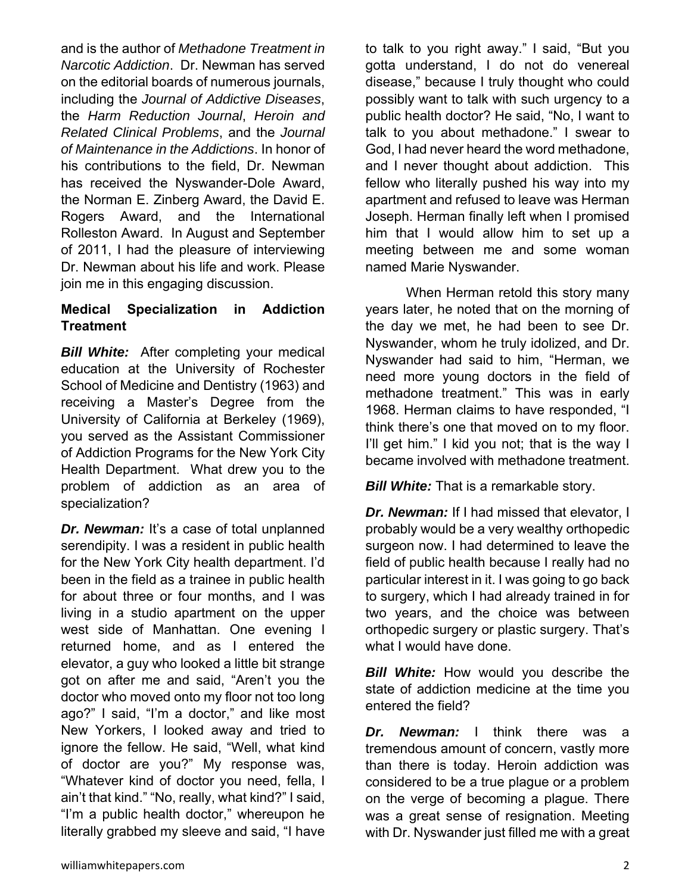and is the author of *Methadone Treatment in Narcotic Addiction*. Dr. Newman has served on the editorial boards of numerous journals, including the *Journal of Addictive Diseases*, the *Harm Reduction Journal*, *Heroin and Related Clinical Problems*, and the *Journal of Maintenance in the Addictions*. In honor of his contributions to the field, Dr. Newman has received the Nyswander-Dole Award, the Norman E. Zinberg Award, the David E. Rogers Award, and the International Rolleston Award. In August and September of 2011, I had the pleasure of interviewing Dr. Newman about his life and work. Please join me in this engaging discussion.

### **Medical Specialization in Addiction Treatment**

**Bill White:** After completing your medical education at the University of Rochester School of Medicine and Dentistry (1963) and receiving a Master's Degree from the University of California at Berkeley (1969), you served as the Assistant Commissioner of Addiction Programs for the New York City Health Department. What drew you to the problem of addiction as an area of specialization?

*Dr. Newman:* It's a case of total unplanned serendipity. I was a resident in public health for the New York City health department. I'd been in the field as a trainee in public health for about three or four months, and I was living in a studio apartment on the upper west side of Manhattan. One evening I returned home, and as I entered the elevator, a guy who looked a little bit strange got on after me and said, "Aren't you the doctor who moved onto my floor not too long ago?" I said, "I'm a doctor," and like most New Yorkers, I looked away and tried to ignore the fellow. He said, "Well, what kind of doctor are you?" My response was, "Whatever kind of doctor you need, fella, I ain't that kind." "No, really, what kind?" I said, "I'm a public health doctor," whereupon he literally grabbed my sleeve and said, "I have

to talk to you right away." I said, "But you gotta understand, I do not do venereal disease," because I truly thought who could possibly want to talk with such urgency to a public health doctor? He said, "No, I want to talk to you about methadone." I swear to God, I had never heard the word methadone, and I never thought about addiction. This fellow who literally pushed his way into my apartment and refused to leave was Herman Joseph. Herman finally left when I promised him that I would allow him to set up a meeting between me and some woman named Marie Nyswander.

 When Herman retold this story many years later, he noted that on the morning of the day we met, he had been to see Dr. Nyswander, whom he truly idolized, and Dr. Nyswander had said to him, "Herman, we need more young doctors in the field of methadone treatment." This was in early 1968. Herman claims to have responded, "I think there's one that moved on to my floor. I'll get him." I kid you not; that is the way I became involved with methadone treatment.

*Bill White:* That is a remarkable story.

*Dr. Newman:* If I had missed that elevator, I probably would be a very wealthy orthopedic surgeon now. I had determined to leave the field of public health because I really had no particular interest in it. I was going to go back to surgery, which I had already trained in for two years, and the choice was between orthopedic surgery or plastic surgery. That's what I would have done.

*Bill White:* How would you describe the state of addiction medicine at the time you entered the field?

*Dr. Newman:* I think there was a tremendous amount of concern, vastly more than there is today. Heroin addiction was considered to be a true plague or a problem on the verge of becoming a plague. There was a great sense of resignation. Meeting with Dr. Nyswander just filled me with a great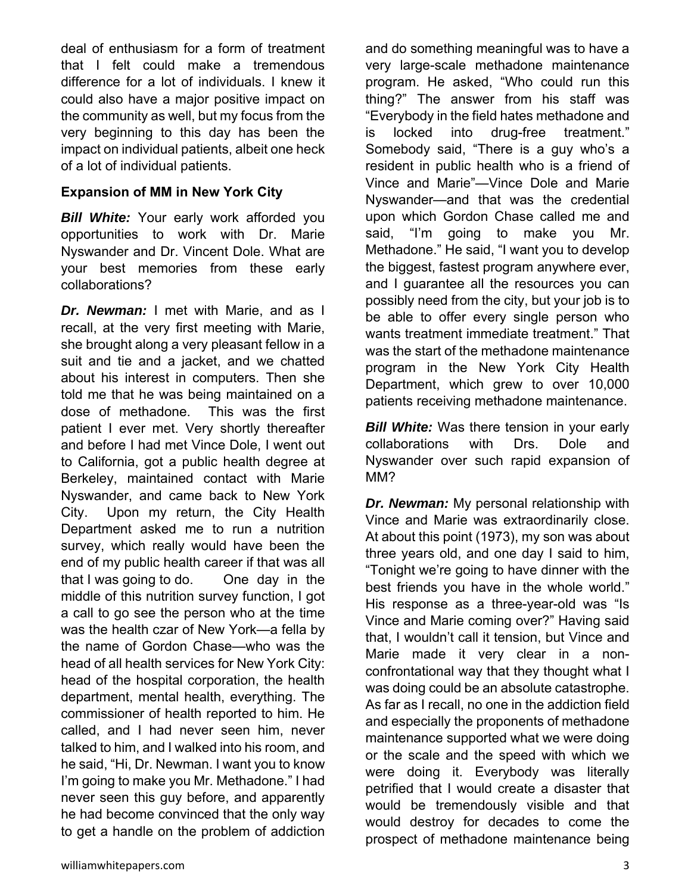deal of enthusiasm for a form of treatment that I felt could make a tremendous difference for a lot of individuals. I knew it could also have a major positive impact on the community as well, but my focus from the very beginning to this day has been the impact on individual patients, albeit one heck of a lot of individual patients.

#### **Expansion of MM in New York City**

*Bill White:* Your early work afforded you opportunities to work with Dr. Marie Nyswander and Dr. Vincent Dole. What are your best memories from these early collaborations?

*Dr. Newman:* I met with Marie, and as I recall, at the very first meeting with Marie, she brought along a very pleasant fellow in a suit and tie and a jacket, and we chatted about his interest in computers. Then she told me that he was being maintained on a dose of methadone. This was the first patient I ever met. Very shortly thereafter and before I had met Vince Dole, I went out to California, got a public health degree at Berkeley, maintained contact with Marie Nyswander, and came back to New York City. Upon my return, the City Health Department asked me to run a nutrition survey, which really would have been the end of my public health career if that was all that I was going to do. One day in the middle of this nutrition survey function, I got a call to go see the person who at the time was the health czar of New York—a fella by the name of Gordon Chase—who was the head of all health services for New York City: head of the hospital corporation, the health department, mental health, everything. The commissioner of health reported to him. He called, and I had never seen him, never talked to him, and I walked into his room, and he said, "Hi, Dr. Newman. I want you to know I'm going to make you Mr. Methadone." I had never seen this guy before, and apparently he had become convinced that the only way to get a handle on the problem of addiction and do something meaningful was to have a very large-scale methadone maintenance program. He asked, "Who could run this thing?" The answer from his staff was "Everybody in the field hates methadone and is locked into drug-free treatment." Somebody said, "There is a guy who's a resident in public health who is a friend of Vince and Marie"—Vince Dole and Marie Nyswander—and that was the credential upon which Gordon Chase called me and said, "I'm going to make you Mr. Methadone." He said, "I want you to develop the biggest, fastest program anywhere ever, and I guarantee all the resources you can possibly need from the city, but your job is to be able to offer every single person who wants treatment immediate treatment." That was the start of the methadone maintenance program in the New York City Health Department, which grew to over 10,000 patients receiving methadone maintenance.

*Bill White:* Was there tension in your early collaborations with Drs. Dole and Nyswander over such rapid expansion of MM?

*Dr. Newman:* My personal relationship with Vince and Marie was extraordinarily close. At about this point (1973), my son was about three years old, and one day I said to him, "Tonight we're going to have dinner with the best friends you have in the whole world." His response as a three-year-old was "Is Vince and Marie coming over?" Having said that, I wouldn't call it tension, but Vince and Marie made it very clear in a nonconfrontational way that they thought what I was doing could be an absolute catastrophe. As far as I recall, no one in the addiction field and especially the proponents of methadone maintenance supported what we were doing or the scale and the speed with which we were doing it. Everybody was literally petrified that I would create a disaster that would be tremendously visible and that would destroy for decades to come the prospect of methadone maintenance being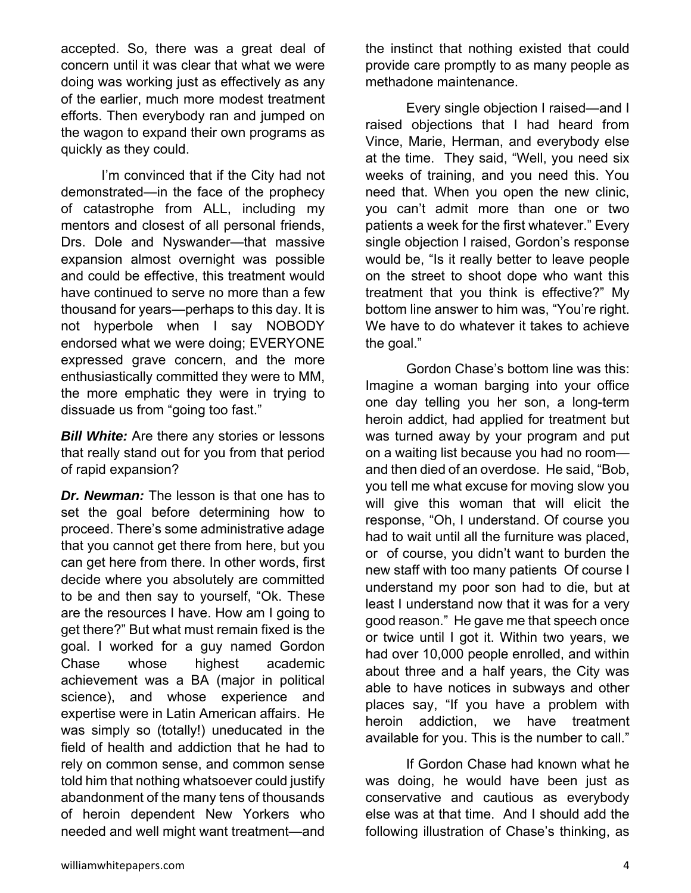accepted. So, there was a great deal of concern until it was clear that what we were doing was working just as effectively as any of the earlier, much more modest treatment efforts. Then everybody ran and jumped on the wagon to expand their own programs as quickly as they could.

 I'm convinced that if the City had not demonstrated—in the face of the prophecy of catastrophe from ALL, including my mentors and closest of all personal friends, Drs. Dole and Nyswander—that massive expansion almost overnight was possible and could be effective, this treatment would have continued to serve no more than a few thousand for years—perhaps to this day. It is not hyperbole when I say NOBODY endorsed what we were doing; EVERYONE expressed grave concern, and the more enthusiastically committed they were to MM, the more emphatic they were in trying to dissuade us from "going too fast."

*Bill White:* Are there any stories or lessons that really stand out for you from that period of rapid expansion?

*Dr. Newman:* The lesson is that one has to set the goal before determining how to proceed. There's some administrative adage that you cannot get there from here, but you can get here from there. In other words, first decide where you absolutely are committed to be and then say to yourself, "Ok. These are the resources I have. How am I going to get there?" But what must remain fixed is the goal. I worked for a guy named Gordon Chase whose highest academic achievement was a BA (major in political science), and whose experience and expertise were in Latin American affairs. He was simply so (totally!) uneducated in the field of health and addiction that he had to rely on common sense, and common sense told him that nothing whatsoever could justify abandonment of the many tens of thousands of heroin dependent New Yorkers who needed and well might want treatment—and

the instinct that nothing existed that could provide care promptly to as many people as methadone maintenance.

 Every single objection I raised—and I raised objections that I had heard from Vince, Marie, Herman, and everybody else at the time. They said, "Well, you need six weeks of training, and you need this. You need that. When you open the new clinic, you can't admit more than one or two patients a week for the first whatever." Every single objection I raised, Gordon's response would be, "Is it really better to leave people on the street to shoot dope who want this treatment that you think is effective?" My bottom line answer to him was, "You're right. We have to do whatever it takes to achieve the goal."

 Gordon Chase's bottom line was this: Imagine a woman barging into your office one day telling you her son, a long-term heroin addict, had applied for treatment but was turned away by your program and put on a waiting list because you had no room and then died of an overdose. He said, "Bob, you tell me what excuse for moving slow you will give this woman that will elicit the response, "Oh, I understand. Of course you had to wait until all the furniture was placed, or of course, you didn't want to burden the new staff with too many patients Of course I understand my poor son had to die, but at least I understand now that it was for a very good reason." He gave me that speech once or twice until I got it. Within two years, we had over 10,000 people enrolled, and within about three and a half years, the City was able to have notices in subways and other places say, "If you have a problem with heroin addiction, we have treatment available for you. This is the number to call."

 If Gordon Chase had known what he was doing, he would have been just as conservative and cautious as everybody else was at that time. And I should add the following illustration of Chase's thinking, as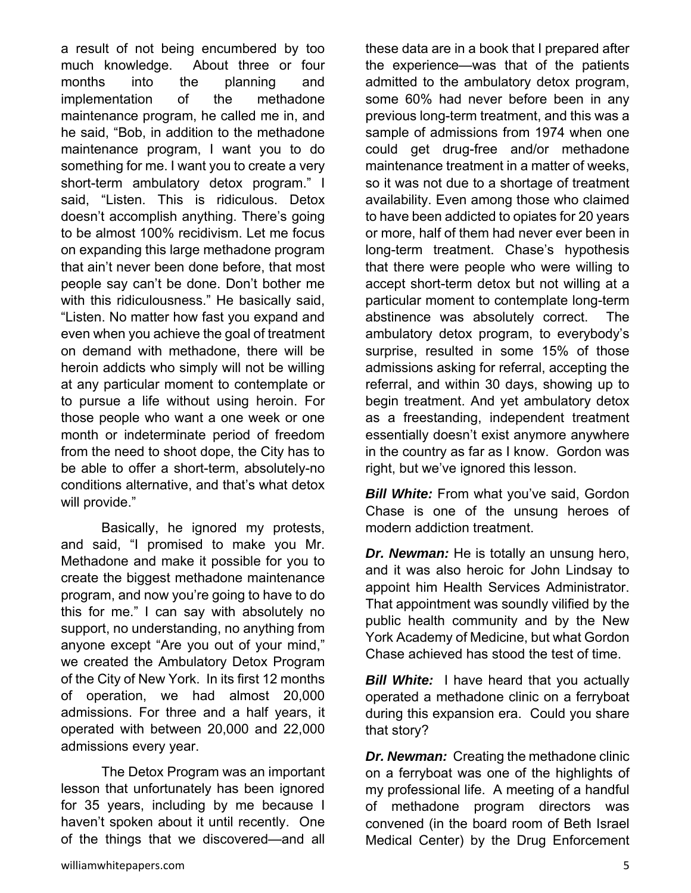a result of not being encumbered by too much knowledge. About three or four months into the planning and implementation of the methadone maintenance program, he called me in, and he said, "Bob, in addition to the methadone maintenance program, I want you to do something for me. I want you to create a very short-term ambulatory detox program." I said, "Listen. This is ridiculous. Detox doesn't accomplish anything. There's going to be almost 100% recidivism. Let me focus on expanding this large methadone program that ain't never been done before, that most people say can't be done. Don't bother me with this ridiculousness." He basically said, "Listen. No matter how fast you expand and even when you achieve the goal of treatment on demand with methadone, there will be heroin addicts who simply will not be willing at any particular moment to contemplate or to pursue a life without using heroin. For those people who want a one week or one month or indeterminate period of freedom from the need to shoot dope, the City has to be able to offer a short-term, absolutely-no conditions alternative, and that's what detox will provide."

 Basically, he ignored my protests, and said, "I promised to make you Mr. Methadone and make it possible for you to create the biggest methadone maintenance program, and now you're going to have to do this for me." I can say with absolutely no support, no understanding, no anything from anyone except "Are you out of your mind," we created the Ambulatory Detox Program of the City of New York. In its first 12 months of operation, we had almost 20,000 admissions. For three and a half years, it operated with between 20,000 and 22,000 admissions every year.

 The Detox Program was an important lesson that unfortunately has been ignored for 35 years, including by me because I haven't spoken about it until recently. One of the things that we discovered—and all these data are in a book that I prepared after the experience—was that of the patients admitted to the ambulatory detox program, some 60% had never before been in any previous long-term treatment, and this was a sample of admissions from 1974 when one could get drug-free and/or methadone maintenance treatment in a matter of weeks, so it was not due to a shortage of treatment availability. Even among those who claimed to have been addicted to opiates for 20 years or more, half of them had never ever been in long-term treatment. Chase's hypothesis that there were people who were willing to accept short-term detox but not willing at a particular moment to contemplate long-term abstinence was absolutely correct. The ambulatory detox program, to everybody's surprise, resulted in some 15% of those admissions asking for referral, accepting the referral, and within 30 days, showing up to begin treatment. And yet ambulatory detox as a freestanding, independent treatment essentially doesn't exist anymore anywhere in the country as far as I know. Gordon was right, but we've ignored this lesson.

*Bill White:* From what you've said, Gordon Chase is one of the unsung heroes of modern addiction treatment.

*Dr. Newman:* He is totally an unsung hero, and it was also heroic for John Lindsay to appoint him Health Services Administrator. That appointment was soundly vilified by the public health community and by the New York Academy of Medicine, but what Gordon Chase achieved has stood the test of time.

*Bill White:* I have heard that you actually operated a methadone clinic on a ferryboat during this expansion era. Could you share that story?

*Dr. Newman:* Creating the methadone clinic on a ferryboat was one of the highlights of my professional life. A meeting of a handful of methadone program directors was convened (in the board room of Beth Israel Medical Center) by the Drug Enforcement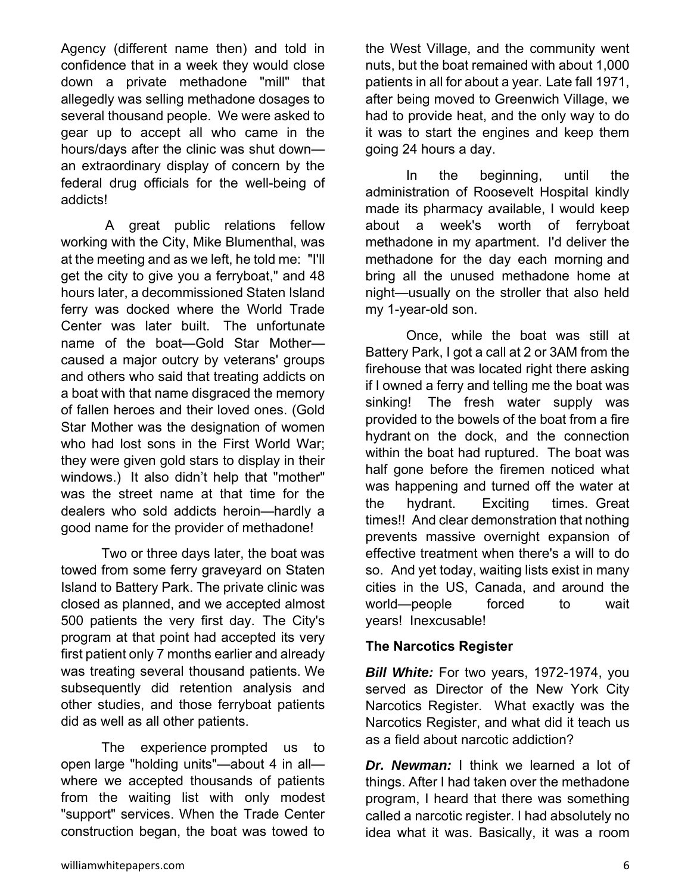Agency (different name then) and told in confidence that in a week they would close down a private methadone "mill" that allegedly was selling methadone dosages to several thousand people. We were asked to gear up to accept all who came in the hours/days after the clinic was shut down an extraordinary display of concern by the federal drug officials for the well-being of addicts!

 A great public relations fellow working with the City, Mike Blumenthal, was at the meeting and as we left, he told me: "I'll get the city to give you a ferryboat," and 48 hours later, a decommissioned Staten Island ferry was docked where the World Trade Center was later built. The unfortunate name of the boat—Gold Star Mother caused a major outcry by veterans' groups and others who said that treating addicts on a boat with that name disgraced the memory of fallen heroes and their loved ones. (Gold Star Mother was the designation of women who had lost sons in the First World War; they were given gold stars to display in their windows.) It also didn't help that "mother" was the street name at that time for the dealers who sold addicts heroin—hardly a good name for the provider of methadone!

 Two or three days later, the boat was towed from some ferry graveyard on Staten Island to Battery Park. The private clinic was closed as planned, and we accepted almost 500 patients the very first day. The City's program at that point had accepted its very first patient only 7 months earlier and already was treating several thousand patients. We subsequently did retention analysis and other studies, and those ferryboat patients did as well as all other patients.

 The experience prompted us to open large "holding units"—about 4 in all where we accepted thousands of patients from the waiting list with only modest "support" services. When the Trade Center construction began, the boat was towed to the West Village, and the community went nuts, but the boat remained with about 1,000 patients in all for about a year. Late fall 1971, after being moved to Greenwich Village, we had to provide heat, and the only way to do it was to start the engines and keep them going 24 hours a day.

 In the beginning, until the administration of Roosevelt Hospital kindly made its pharmacy available, I would keep about a week's worth of ferryboat methadone in my apartment. I'd deliver the methadone for the day each morning and bring all the unused methadone home at night—usually on the stroller that also held my 1-year-old son.

 Once, while the boat was still at Battery Park, I got a call at 2 or 3AM from the firehouse that was located right there asking if I owned a ferry and telling me the boat was sinking! The fresh water supply was provided to the bowels of the boat from a fire hydrant on the dock, and the connection within the boat had ruptured. The boat was half gone before the firemen noticed what was happening and turned off the water at the hydrant. Exciting times. Great times!! And clear demonstration that nothing prevents massive overnight expansion of effective treatment when there's a will to do so. And yet today, waiting lists exist in many cities in the US, Canada, and around the world—people forced to wait years! Inexcusable!

#### **The Narcotics Register**

**Bill White:** For two years, 1972-1974, you served as Director of the New York City Narcotics Register. What exactly was the Narcotics Register, and what did it teach us as a field about narcotic addiction?

*Dr. Newman:* I think we learned a lot of things. After I had taken over the methadone program, I heard that there was something called a narcotic register. I had absolutely no idea what it was. Basically, it was a room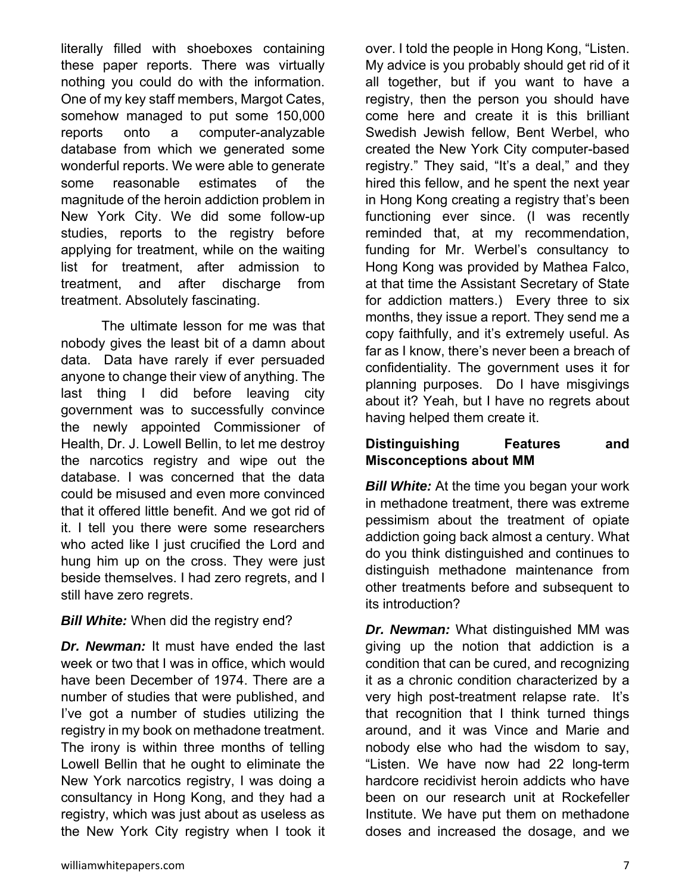literally filled with shoeboxes containing these paper reports. There was virtually nothing you could do with the information. One of my key staff members, Margot Cates, somehow managed to put some 150,000 reports onto a computer-analyzable database from which we generated some wonderful reports. We were able to generate some reasonable estimates of the magnitude of the heroin addiction problem in New York City. We did some follow-up studies, reports to the registry before applying for treatment, while on the waiting list for treatment, after admission to treatment, and after discharge from treatment. Absolutely fascinating.

 The ultimate lesson for me was that nobody gives the least bit of a damn about data. Data have rarely if ever persuaded anyone to change their view of anything. The last thing I did before leaving city government was to successfully convince the newly appointed Commissioner of Health, Dr. J. Lowell Bellin, to let me destroy the narcotics registry and wipe out the database. I was concerned that the data could be misused and even more convinced that it offered little benefit. And we got rid of it. I tell you there were some researchers who acted like I just crucified the Lord and hung him up on the cross. They were just beside themselves. I had zero regrets, and I still have zero regrets.

#### **Bill White:** When did the registry end?

*Dr. Newman:* It must have ended the last week or two that I was in office, which would have been December of 1974. There are a number of studies that were published, and I've got a number of studies utilizing the registry in my book on methadone treatment. The irony is within three months of telling Lowell Bellin that he ought to eliminate the New York narcotics registry, I was doing a consultancy in Hong Kong, and they had a registry, which was just about as useless as the New York City registry when I took it

over. I told the people in Hong Kong, "Listen. My advice is you probably should get rid of it all together, but if you want to have a registry, then the person you should have come here and create it is this brilliant Swedish Jewish fellow, Bent Werbel, who created the New York City computer-based registry." They said, "It's a deal," and they hired this fellow, and he spent the next year in Hong Kong creating a registry that's been functioning ever since. (I was recently reminded that, at my recommendation, funding for Mr. Werbel's consultancy to Hong Kong was provided by Mathea Falco, at that time the Assistant Secretary of State for addiction matters.) Every three to six months, they issue a report. They send me a copy faithfully, and it's extremely useful. As far as I know, there's never been a breach of confidentiality. The government uses it for planning purposes. Do I have misgivings about it? Yeah, but I have no regrets about having helped them create it.

#### **Distinguishing Features and Misconceptions about MM**

*Bill White:* At the time you began your work in methadone treatment, there was extreme pessimism about the treatment of opiate addiction going back almost a century. What do you think distinguished and continues to distinguish methadone maintenance from other treatments before and subsequent to its introduction?

*Dr. Newman:* What distinguished MM was giving up the notion that addiction is a condition that can be cured, and recognizing it as a chronic condition characterized by a very high post-treatment relapse rate. It's that recognition that I think turned things around, and it was Vince and Marie and nobody else who had the wisdom to say, "Listen. We have now had 22 long-term hardcore recidivist heroin addicts who have been on our research unit at Rockefeller Institute. We have put them on methadone doses and increased the dosage, and we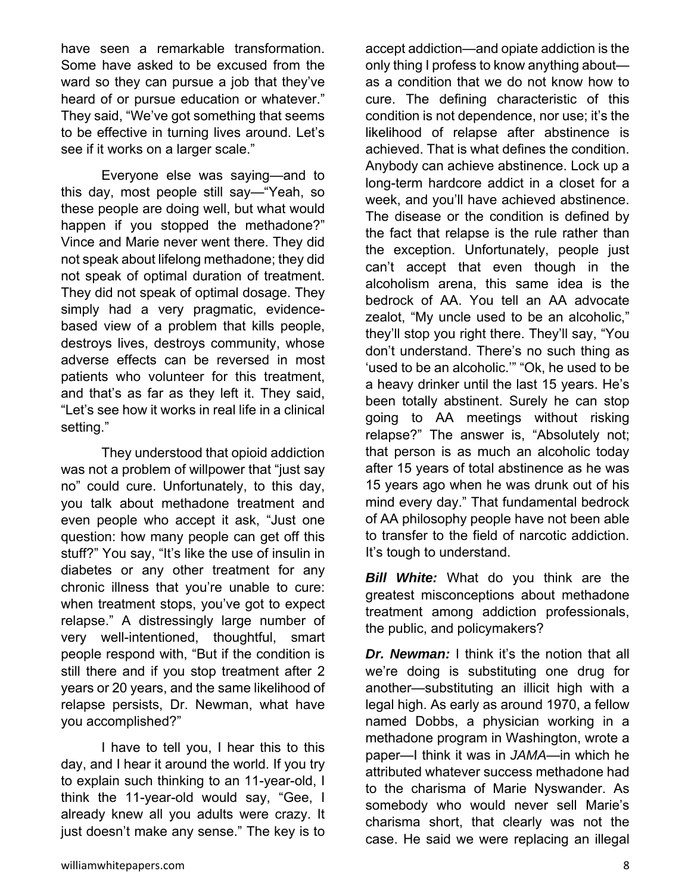have seen a remarkable transformation. Some have asked to be excused from the ward so they can pursue a job that they've heard of or pursue education or whatever." They said, "We've got something that seems to be effective in turning lives around. Let's see if it works on a larger scale."

 Everyone else was saying—and to this day, most people still say—"Yeah, so these people are doing well, but what would happen if you stopped the methadone?" Vince and Marie never went there. They did not speak about lifelong methadone; they did not speak of optimal duration of treatment. They did not speak of optimal dosage. They simply had a very pragmatic, evidencebased view of a problem that kills people, destroys lives, destroys community, whose adverse effects can be reversed in most patients who volunteer for this treatment, and that's as far as they left it. They said, "Let's see how it works in real life in a clinical setting."

 They understood that opioid addiction was not a problem of willpower that "just say no" could cure. Unfortunately, to this day, you talk about methadone treatment and even people who accept it ask, "Just one question: how many people can get off this stuff?" You say, "It's like the use of insulin in diabetes or any other treatment for any chronic illness that you're unable to cure: when treatment stops, you've got to expect relapse." A distressingly large number of very well-intentioned, thoughtful, smart people respond with, "But if the condition is still there and if you stop treatment after 2 years or 20 years, and the same likelihood of relapse persists, Dr. Newman, what have you accomplished?"

 I have to tell you, I hear this to this day, and I hear it around the world. If you try to explain such thinking to an 11-year-old, I think the 11-year-old would say, "Gee, I already knew all you adults were crazy. It just doesn't make any sense." The key is to accept addiction—and opiate addiction is the only thing I profess to know anything about as a condition that we do not know how to cure. The defining characteristic of this condition is not dependence, nor use; it's the likelihood of relapse after abstinence is achieved. That is what defines the condition. Anybody can achieve abstinence. Lock up a long-term hardcore addict in a closet for a week, and you'll have achieved abstinence. The disease or the condition is defined by the fact that relapse is the rule rather than the exception. Unfortunately, people just can't accept that even though in the alcoholism arena, this same idea is the bedrock of AA. You tell an AA advocate zealot, "My uncle used to be an alcoholic," they'll stop you right there. They'll say, "You don't understand. There's no such thing as 'used to be an alcoholic.'" "Ok, he used to be a heavy drinker until the last 15 years. He's been totally abstinent. Surely he can stop going to AA meetings without risking relapse?" The answer is, "Absolutely not; that person is as much an alcoholic today after 15 years of total abstinence as he was 15 years ago when he was drunk out of his mind every day." That fundamental bedrock of AA philosophy people have not been able to transfer to the field of narcotic addiction. It's tough to understand.

*Bill White:* What do you think are the greatest misconceptions about methadone treatment among addiction professionals, the public, and policymakers?

**Dr. Newman:** I think it's the notion that all we're doing is substituting one drug for another—substituting an illicit high with a legal high. As early as around 1970, a fellow named Dobbs, a physician working in a methadone program in Washington, wrote a paper—I think it was in *JAMA*—in which he attributed whatever success methadone had to the charisma of Marie Nyswander. As somebody who would never sell Marie's charisma short, that clearly was not the case. He said we were replacing an illegal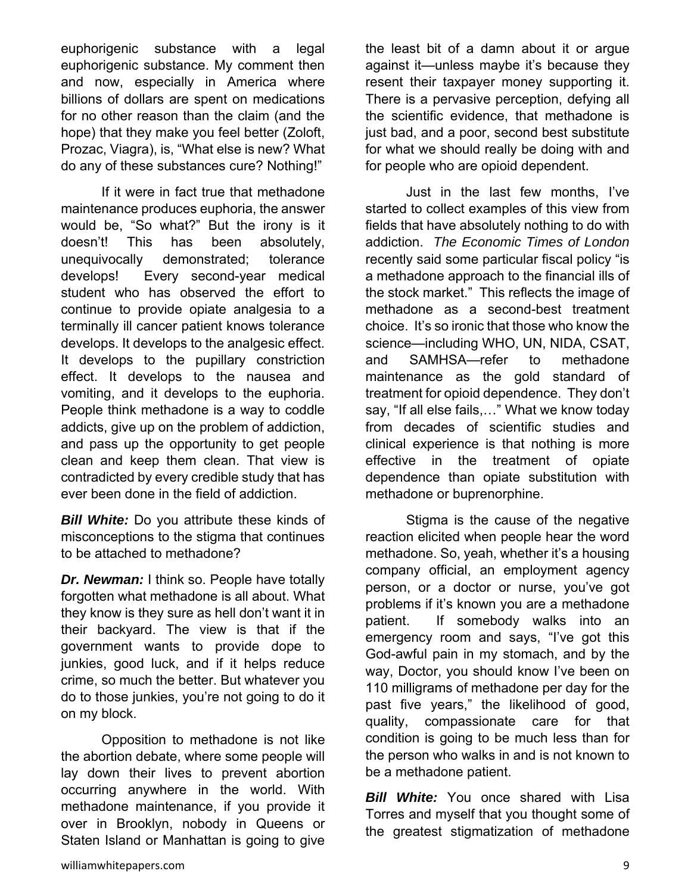euphorigenic substance with a legal euphorigenic substance. My comment then and now, especially in America where billions of dollars are spent on medications for no other reason than the claim (and the hope) that they make you feel better (Zoloft, Prozac, Viagra), is, "What else is new? What do any of these substances cure? Nothing!"

 If it were in fact true that methadone maintenance produces euphoria, the answer would be, "So what?" But the irony is it doesn't! This has been absolutely, unequivocally demonstrated; tolerance develops! Every second-year medical student who has observed the effort to continue to provide opiate analgesia to a terminally ill cancer patient knows tolerance develops. It develops to the analgesic effect. It develops to the pupillary constriction effect. It develops to the nausea and vomiting, and it develops to the euphoria. People think methadone is a way to coddle addicts, give up on the problem of addiction, and pass up the opportunity to get people clean and keep them clean. That view is contradicted by every credible study that has ever been done in the field of addiction.

*Bill White:* Do you attribute these kinds of misconceptions to the stigma that continues to be attached to methadone?

*Dr. Newman:* I think so. People have totally forgotten what methadone is all about. What they know is they sure as hell don't want it in their backyard. The view is that if the government wants to provide dope to junkies, good luck, and if it helps reduce crime, so much the better. But whatever you do to those junkies, you're not going to do it on my block.

 Opposition to methadone is not like the abortion debate, where some people will lay down their lives to prevent abortion occurring anywhere in the world. With methadone maintenance, if you provide it over in Brooklyn, nobody in Queens or Staten Island or Manhattan is going to give

the least bit of a damn about it or argue against it—unless maybe it's because they resent their taxpayer money supporting it. There is a pervasive perception, defying all the scientific evidence, that methadone is just bad, and a poor, second best substitute for what we should really be doing with and for people who are opioid dependent.

 Just in the last few months, I've started to collect examples of this view from fields that have absolutely nothing to do with addiction. *The Economic Times of London* recently said some particular fiscal policy "is a methadone approach to the financial ills of the stock market." This reflects the image of methadone as a second-best treatment choice. It's so ironic that those who know the science—including WHO, UN, NIDA, CSAT, and SAMHSA—refer to methadone maintenance as the gold standard of treatment for opioid dependence. They don't say, "If all else fails,…" What we know today from decades of scientific studies and clinical experience is that nothing is more effective in the treatment of opiate dependence than opiate substitution with methadone or buprenorphine.

 Stigma is the cause of the negative reaction elicited when people hear the word methadone. So, yeah, whether it's a housing company official, an employment agency person, or a doctor or nurse, you've got problems if it's known you are a methadone patient. If somebody walks into an emergency room and says, "I've got this God-awful pain in my stomach, and by the way, Doctor, you should know I've been on 110 milligrams of methadone per day for the past five years," the likelihood of good, quality, compassionate care for that condition is going to be much less than for the person who walks in and is not known to be a methadone patient.

**Bill White:** You once shared with Lisa Torres and myself that you thought some of the greatest stigmatization of methadone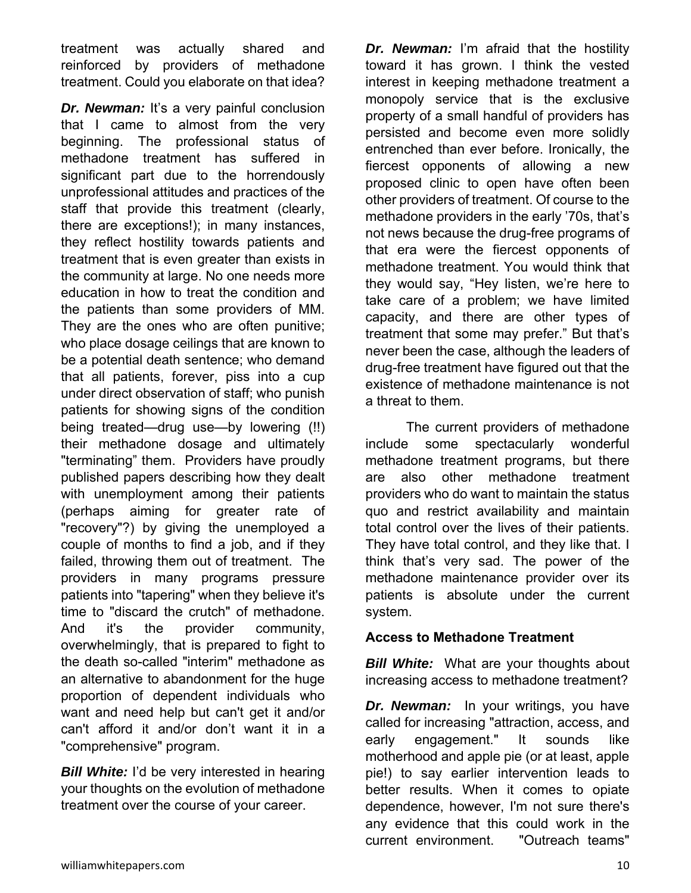treatment was actually shared and reinforced by providers of methadone treatment. Could you elaborate on that idea?

*Dr. Newman:* It's a very painful conclusion that I came to almost from the very beginning. The professional status of methadone treatment has suffered in significant part due to the horrendously unprofessional attitudes and practices of the staff that provide this treatment (clearly, there are exceptions!); in many instances, they reflect hostility towards patients and treatment that is even greater than exists in the community at large. No one needs more education in how to treat the condition and the patients than some providers of MM. They are the ones who are often punitive; who place dosage ceilings that are known to be a potential death sentence; who demand that all patients, forever, piss into a cup under direct observation of staff; who punish patients for showing signs of the condition being treated—drug use—by lowering (!!) their methadone dosage and ultimately "terminating" them. Providers have proudly published papers describing how they dealt with unemployment among their patients (perhaps aiming for greater rate of "recovery"?) by giving the unemployed a couple of months to find a job, and if they failed, throwing them out of treatment. The providers in many programs pressure patients into "tapering" when they believe it's time to "discard the crutch" of methadone. And it's the provider community, overwhelmingly, that is prepared to fight to the death so-called "interim" methadone as an alternative to abandonment for the huge proportion of dependent individuals who want and need help but can't get it and/or can't afford it and/or don't want it in a "comprehensive" program.

**Bill White:** I'd be very interested in hearing your thoughts on the evolution of methadone treatment over the course of your career.

*Dr.* Newman: I'm afraid that the hostility toward it has grown. I think the vested interest in keeping methadone treatment a monopoly service that is the exclusive property of a small handful of providers has persisted and become even more solidly entrenched than ever before. Ironically, the fiercest opponents of allowing a new proposed clinic to open have often been other providers of treatment. Of course to the methadone providers in the early '70s, that's not news because the drug-free programs of that era were the fiercest opponents of methadone treatment. You would think that they would say, "Hey listen, we're here to take care of a problem; we have limited capacity, and there are other types of treatment that some may prefer." But that's never been the case, although the leaders of drug-free treatment have figured out that the existence of methadone maintenance is not a threat to them.

 The current providers of methadone include some spectacularly wonderful methadone treatment programs, but there are also other methadone treatment providers who do want to maintain the status quo and restrict availability and maintain total control over the lives of their patients. They have total control, and they like that. I think that's very sad. The power of the methadone maintenance provider over its patients is absolute under the current system.

#### **Access to Methadone Treatment**

**Bill White:** What are your thoughts about increasing access to methadone treatment?

*Dr. Newman:* In your writings, you have called for increasing "attraction, access, and early engagement." It sounds like motherhood and apple pie (or at least, apple pie!) to say earlier intervention leads to better results. When it comes to opiate dependence, however, I'm not sure there's any evidence that this could work in the current environment. "Outreach teams"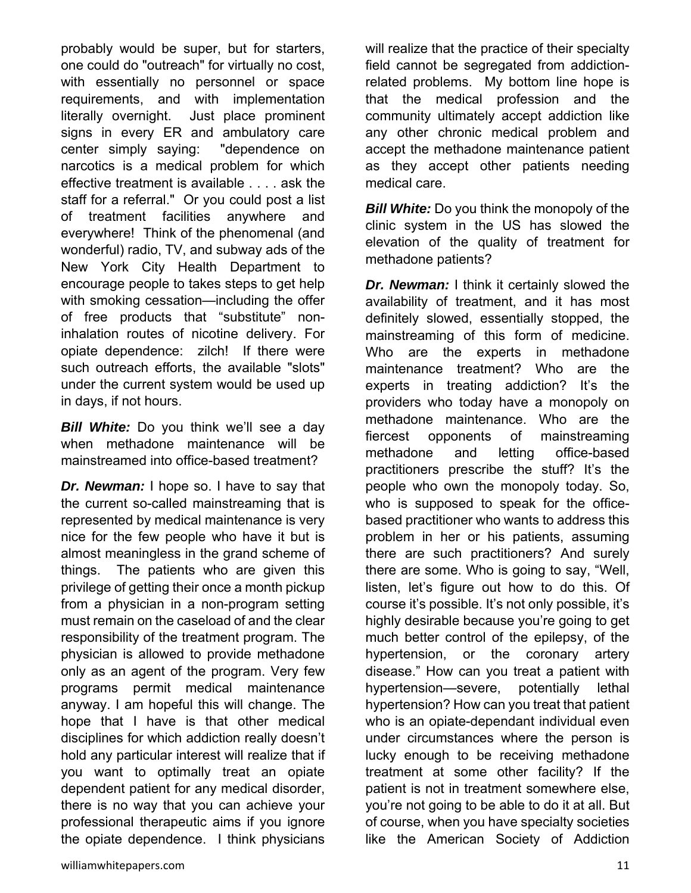probably would be super, but for starters, one could do "outreach" for virtually no cost, with essentially no personnel or space requirements, and with implementation literally overnight. Just place prominent signs in every ER and ambulatory care center simply saying: "dependence on narcotics is a medical problem for which effective treatment is available . . . . ask the staff for a referral." Or you could post a list of treatment facilities anywhere and everywhere! Think of the phenomenal (and wonderful) radio, TV, and subway ads of the New York City Health Department to encourage people to takes steps to get help with smoking cessation—including the offer of free products that "substitute" noninhalation routes of nicotine delivery. For opiate dependence: zilch! If there were such outreach efforts, the available "slots" under the current system would be used up in days, if not hours.

*Bill White:* Do you think we'll see a day when methadone maintenance will be mainstreamed into office-based treatment?

*Dr. Newman:* I hope so. I have to say that the current so-called mainstreaming that is represented by medical maintenance is very nice for the few people who have it but is almost meaningless in the grand scheme of things. The patients who are given this privilege of getting their once a month pickup from a physician in a non-program setting must remain on the caseload of and the clear responsibility of the treatment program. The physician is allowed to provide methadone only as an agent of the program. Very few programs permit medical maintenance anyway. I am hopeful this will change. The hope that I have is that other medical disciplines for which addiction really doesn't hold any particular interest will realize that if you want to optimally treat an opiate dependent patient for any medical disorder, there is no way that you can achieve your professional therapeutic aims if you ignore the opiate dependence. I think physicians

will realize that the practice of their specialty field cannot be segregated from addictionrelated problems. My bottom line hope is that the medical profession and the community ultimately accept addiction like any other chronic medical problem and accept the methadone maintenance patient as they accept other patients needing medical care.

*Bill White:* Do you think the monopoly of the clinic system in the US has slowed the elevation of the quality of treatment for methadone patients?

*Dr. Newman:* I think it certainly slowed the availability of treatment, and it has most definitely slowed, essentially stopped, the mainstreaming of this form of medicine. Who are the experts in methadone maintenance treatment? Who are the experts in treating addiction? It's the providers who today have a monopoly on methadone maintenance. Who are the fiercest opponents of mainstreaming methadone and letting office-based practitioners prescribe the stuff? It's the people who own the monopoly today. So, who is supposed to speak for the officebased practitioner who wants to address this problem in her or his patients, assuming there are such practitioners? And surely there are some. Who is going to say, "Well, listen, let's figure out how to do this. Of course it's possible. It's not only possible, it's highly desirable because you're going to get much better control of the epilepsy, of the hypertension, or the coronary artery disease." How can you treat a patient with hypertension—severe, potentially lethal hypertension? How can you treat that patient who is an opiate-dependant individual even under circumstances where the person is lucky enough to be receiving methadone treatment at some other facility? If the patient is not in treatment somewhere else, you're not going to be able to do it at all. But of course, when you have specialty societies like the American Society of Addiction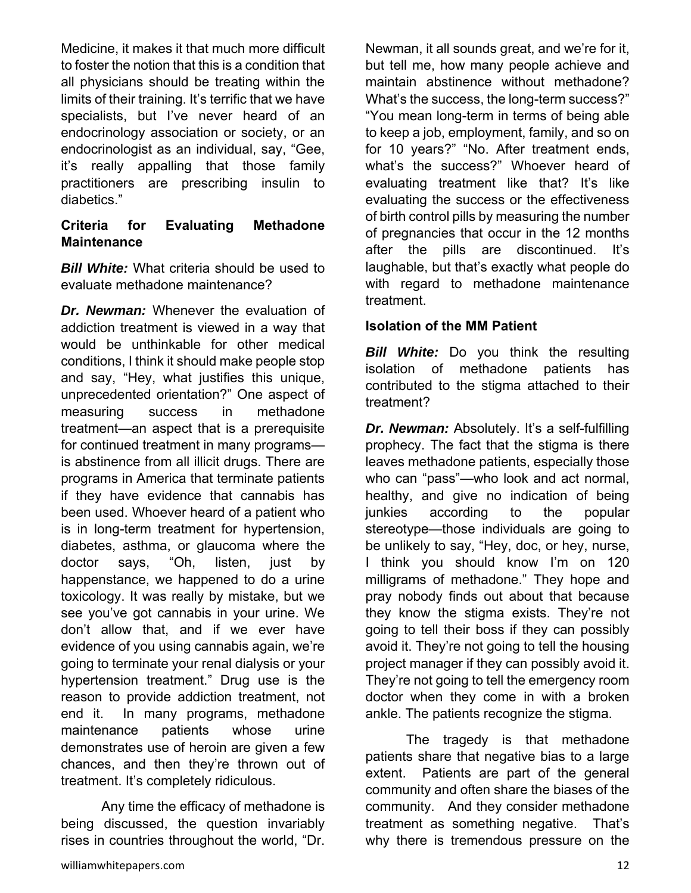Medicine, it makes it that much more difficult to foster the notion that this is a condition that all physicians should be treating within the limits of their training. It's terrific that we have specialists, but I've never heard of an endocrinology association or society, or an endocrinologist as an individual, say, "Gee, it's really appalling that those family practitioners are prescribing insulin to diabetics."

### **Criteria for Evaluating Methadone Maintenance**

*Bill White:* What criteria should be used to evaluate methadone maintenance?

*Dr. Newman:* Whenever the evaluation of addiction treatment is viewed in a way that would be unthinkable for other medical conditions, I think it should make people stop and say, "Hey, what justifies this unique, unprecedented orientation?" One aspect of measuring success in methadone treatment—an aspect that is a prerequisite for continued treatment in many programs is abstinence from all illicit drugs. There are programs in America that terminate patients if they have evidence that cannabis has been used. Whoever heard of a patient who is in long-term treatment for hypertension, diabetes, asthma, or glaucoma where the doctor says, "Oh, listen, just by happenstance, we happened to do a urine toxicology. It was really by mistake, but we see you've got cannabis in your urine. We don't allow that, and if we ever have evidence of you using cannabis again, we're going to terminate your renal dialysis or your hypertension treatment." Drug use is the reason to provide addiction treatment, not end it. In many programs, methadone maintenance patients whose urine demonstrates use of heroin are given a few chances, and then they're thrown out of treatment. It's completely ridiculous.

 Any time the efficacy of methadone is being discussed, the question invariably rises in countries throughout the world, "Dr.

Newman, it all sounds great, and we're for it, but tell me, how many people achieve and maintain abstinence without methadone? What's the success, the long-term success?" "You mean long-term in terms of being able to keep a job, employment, family, and so on for 10 years?" "No. After treatment ends, what's the success?" Whoever heard of evaluating treatment like that? It's like evaluating the success or the effectiveness of birth control pills by measuring the number of pregnancies that occur in the 12 months after the pills are discontinued. It's laughable, but that's exactly what people do with regard to methadone maintenance treatment.

#### **Isolation of the MM Patient**

*Bill White:* Do you think the resulting isolation of methadone patients has contributed to the stigma attached to their treatment?

*Dr. Newman:* Absolutely. It's a self-fulfilling prophecy. The fact that the stigma is there leaves methadone patients, especially those who can "pass"—who look and act normal, healthy, and give no indication of being junkies according to the popular stereotype—those individuals are going to be unlikely to say, "Hey, doc, or hey, nurse, I think you should know I'm on 120 milligrams of methadone." They hope and pray nobody finds out about that because they know the stigma exists. They're not going to tell their boss if they can possibly avoid it. They're not going to tell the housing project manager if they can possibly avoid it. They're not going to tell the emergency room doctor when they come in with a broken ankle. The patients recognize the stigma.

 The tragedy is that methadone patients share that negative bias to a large extent. Patients are part of the general community and often share the biases of the community. And they consider methadone treatment as something negative. That's why there is tremendous pressure on the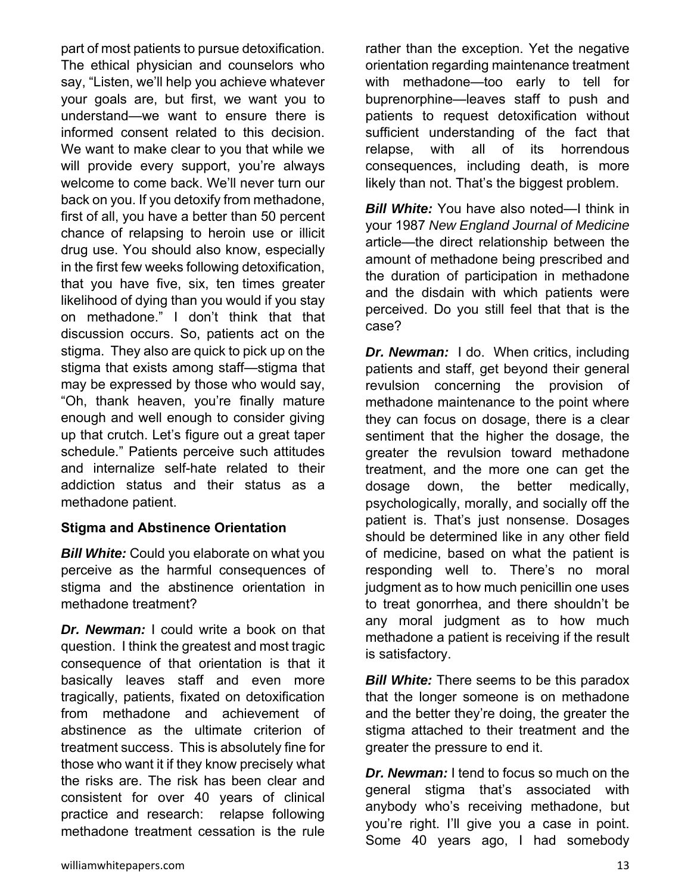part of most patients to pursue detoxification. The ethical physician and counselors who say, "Listen, we'll help you achieve whatever your goals are, but first, we want you to understand—we want to ensure there is informed consent related to this decision. We want to make clear to you that while we will provide every support, you're always welcome to come back. We'll never turn our back on you. If you detoxify from methadone, first of all, you have a better than 50 percent chance of relapsing to heroin use or illicit drug use. You should also know, especially in the first few weeks following detoxification, that you have five, six, ten times greater likelihood of dying than you would if you stay on methadone." I don't think that that discussion occurs. So, patients act on the stigma. They also are quick to pick up on the stigma that exists among staff—stigma that may be expressed by those who would say, "Oh, thank heaven, you're finally mature enough and well enough to consider giving up that crutch. Let's figure out a great taper schedule." Patients perceive such attitudes and internalize self-hate related to their addiction status and their status as a methadone patient.

#### **Stigma and Abstinence Orientation**

*Bill White:* Could you elaborate on what you perceive as the harmful consequences of stigma and the abstinence orientation in methadone treatment?

*Dr. Newman:* I could write a book on that question. I think the greatest and most tragic consequence of that orientation is that it basically leaves staff and even more tragically, patients, fixated on detoxification from methadone and achievement of abstinence as the ultimate criterion of treatment success. This is absolutely fine for those who want it if they know precisely what the risks are. The risk has been clear and consistent for over 40 years of clinical practice and research: relapse following methadone treatment cessation is the rule

rather than the exception. Yet the negative orientation regarding maintenance treatment with methadone—too early to tell for buprenorphine—leaves staff to push and patients to request detoxification without sufficient understanding of the fact that relapse, with all of its horrendous consequences, including death, is more likely than not. That's the biggest problem.

*Bill White:* You have also noted—I think in your 1987 *New England Journal of Medicine* article—the direct relationship between the amount of methadone being prescribed and the duration of participation in methadone and the disdain with which patients were perceived. Do you still feel that that is the case?

**Dr. Newman:** I do. When critics, including patients and staff, get beyond their general revulsion concerning the provision of methadone maintenance to the point where they can focus on dosage, there is a clear sentiment that the higher the dosage, the greater the revulsion toward methadone treatment, and the more one can get the dosage down, the better medically, psychologically, morally, and socially off the patient is. That's just nonsense. Dosages should be determined like in any other field of medicine, based on what the patient is responding well to. There's no moral judgment as to how much penicillin one uses to treat gonorrhea, and there shouldn't be any moral judgment as to how much methadone a patient is receiving if the result is satisfactory.

*Bill White:* There seems to be this paradox that the longer someone is on methadone and the better they're doing, the greater the stigma attached to their treatment and the greater the pressure to end it.

*Dr. Newman:* I tend to focus so much on the general stigma that's associated with anybody who's receiving methadone, but you're right. I'll give you a case in point. Some 40 years ago, I had somebody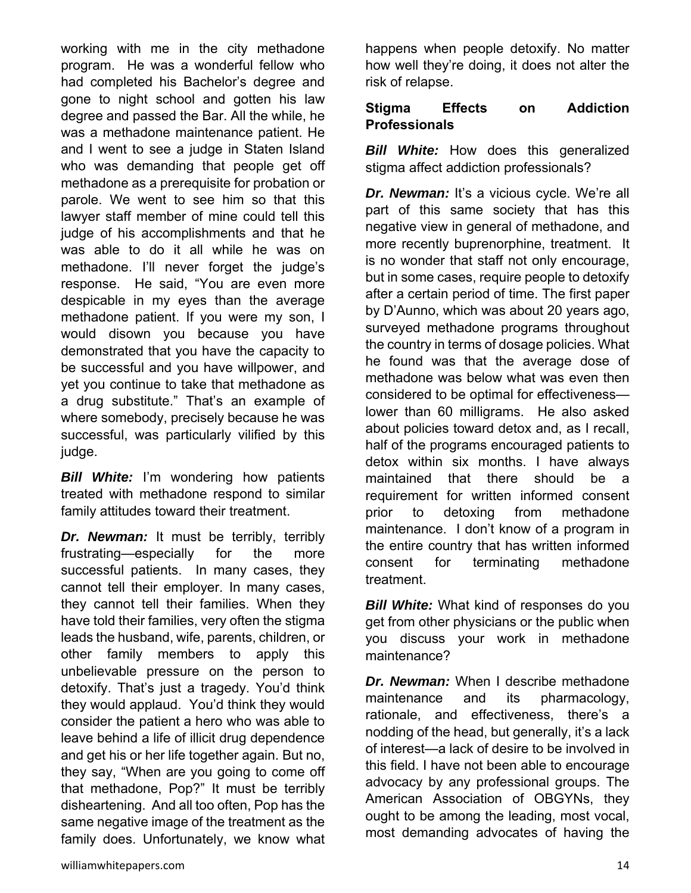working with me in the city methadone program. He was a wonderful fellow who had completed his Bachelor's degree and gone to night school and gotten his law degree and passed the Bar. All the while, he was a methadone maintenance patient. He and I went to see a judge in Staten Island who was demanding that people get off methadone as a prerequisite for probation or parole. We went to see him so that this lawyer staff member of mine could tell this judge of his accomplishments and that he was able to do it all while he was on methadone. I'll never forget the judge's response. He said, "You are even more despicable in my eyes than the average methadone patient. If you were my son, I would disown you because you have demonstrated that you have the capacity to be successful and you have willpower, and yet you continue to take that methadone as a drug substitute." That's an example of where somebody, precisely because he was successful, was particularly vilified by this judge.

*Bill White:* I'm wondering how patients treated with methadone respond to similar family attitudes toward their treatment.

*Dr. Newman:* It must be terribly, terribly frustrating—especially for the more successful patients. In many cases, they cannot tell their employer. In many cases, they cannot tell their families. When they have told their families, very often the stigma leads the husband, wife, parents, children, or other family members to apply this unbelievable pressure on the person to detoxify. That's just a tragedy. You'd think they would applaud. You'd think they would consider the patient a hero who was able to leave behind a life of illicit drug dependence and get his or her life together again. But no, they say, "When are you going to come off that methadone, Pop?" It must be terribly disheartening. And all too often, Pop has the same negative image of the treatment as the family does. Unfortunately, we know what happens when people detoxify. No matter how well they're doing, it does not alter the risk of relapse.

### **Stigma Effects on Addiction Professionals**

**Bill White:** How does this generalized stigma affect addiction professionals?

*Dr. Newman:* It's a vicious cycle. We're all part of this same society that has this negative view in general of methadone, and more recently buprenorphine, treatment. It is no wonder that staff not only encourage, but in some cases, require people to detoxify after a certain period of time. The first paper by D'Aunno, which was about 20 years ago, surveyed methadone programs throughout the country in terms of dosage policies. What he found was that the average dose of methadone was below what was even then considered to be optimal for effectiveness lower than 60 milligrams. He also asked about policies toward detox and, as I recall, half of the programs encouraged patients to detox within six months. I have always maintained that there should be a requirement for written informed consent prior to detoxing from methadone maintenance. I don't know of a program in the entire country that has written informed consent for terminating methadone treatment.

*Bill White:* What kind of responses do you get from other physicians or the public when you discuss your work in methadone maintenance?

*Dr. Newman:* When I describe methadone maintenance and its pharmacology, rationale, and effectiveness, there's a nodding of the head, but generally, it's a lack of interest—a lack of desire to be involved in this field. I have not been able to encourage advocacy by any professional groups. The American Association of OBGYNs, they ought to be among the leading, most vocal, most demanding advocates of having the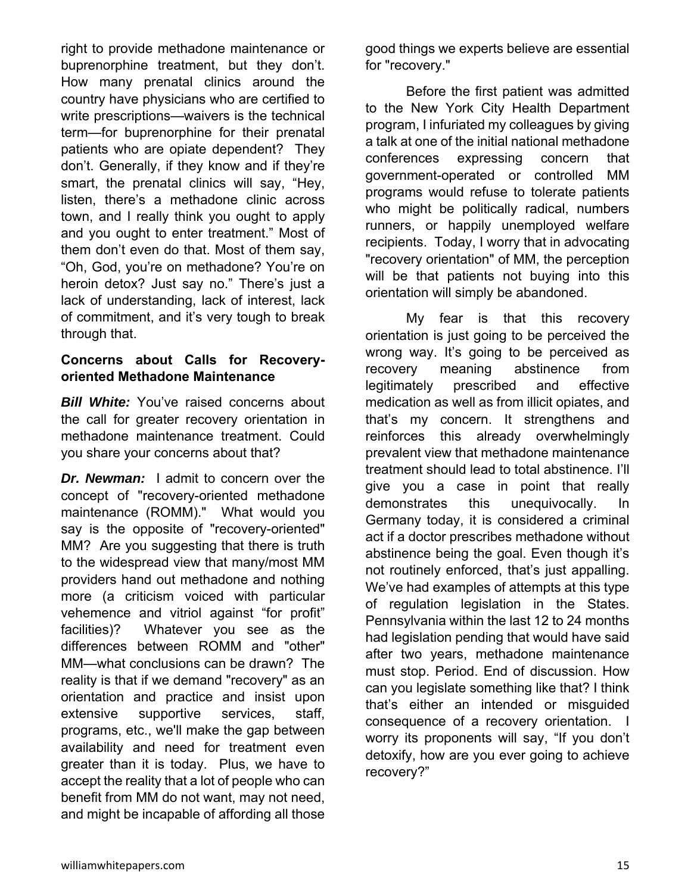right to provide methadone maintenance or buprenorphine treatment, but they don't. How many prenatal clinics around the country have physicians who are certified to write prescriptions—waivers is the technical term—for buprenorphine for their prenatal patients who are opiate dependent? They don't. Generally, if they know and if they're smart, the prenatal clinics will say, "Hey, listen, there's a methadone clinic across town, and I really think you ought to apply and you ought to enter treatment." Most of them don't even do that. Most of them say, "Oh, God, you're on methadone? You're on heroin detox? Just say no." There's just a lack of understanding, lack of interest, lack of commitment, and it's very tough to break through that.

#### **Concerns about Calls for Recoveryoriented Methadone Maintenance**

**Bill White:** You've raised concerns about the call for greater recovery orientation in methadone maintenance treatment. Could you share your concerns about that?

*Dr. Newman:* I admit to concern over the concept of "recovery-oriented methadone maintenance (ROMM)." What would you say is the opposite of "recovery-oriented" MM? Are you suggesting that there is truth to the widespread view that many/most MM providers hand out methadone and nothing more (a criticism voiced with particular vehemence and vitriol against "for profit" facilities)? Whatever you see as the differences between ROMM and "other" MM—what conclusions can be drawn? The reality is that if we demand "recovery" as an orientation and practice and insist upon extensive supportive services, staff, programs, etc., we'll make the gap between availability and need for treatment even greater than it is today. Plus, we have to accept the reality that a lot of people who can benefit from MM do not want, may not need, and might be incapable of affording all those

good things we experts believe are essential for "recovery."

 Before the first patient was admitted to the New York City Health Department program, I infuriated my colleagues by giving a talk at one of the initial national methadone conferences expressing concern that government-operated or controlled MM programs would refuse to tolerate patients who might be politically radical, numbers runners, or happily unemployed welfare recipients. Today, I worry that in advocating "recovery orientation" of MM, the perception will be that patients not buying into this orientation will simply be abandoned.

 My fear is that this recovery orientation is just going to be perceived the wrong way. It's going to be perceived as recovery meaning abstinence from legitimately prescribed and effective medication as well as from illicit opiates, and that's my concern. It strengthens and reinforces this already overwhelmingly prevalent view that methadone maintenance treatment should lead to total abstinence. I'll give you a case in point that really demonstrates this unequivocally. In Germany today, it is considered a criminal act if a doctor prescribes methadone without abstinence being the goal. Even though it's not routinely enforced, that's just appalling. We've had examples of attempts at this type of regulation legislation in the States. Pennsylvania within the last 12 to 24 months had legislation pending that would have said after two years, methadone maintenance must stop. Period. End of discussion. How can you legislate something like that? I think that's either an intended or misguided consequence of a recovery orientation. I worry its proponents will say, "If you don't detoxify, how are you ever going to achieve recovery?"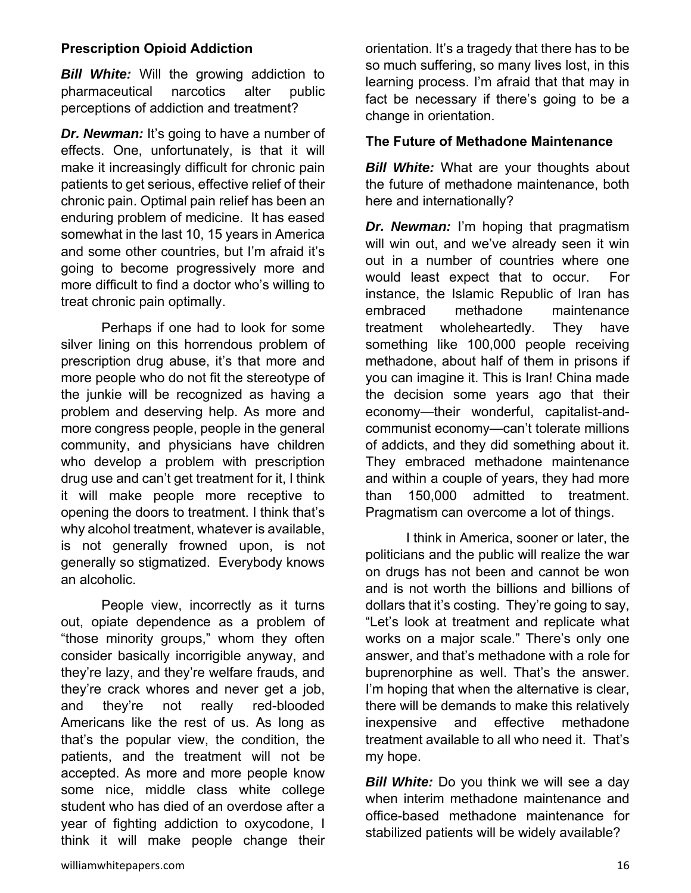#### **Prescription Opioid Addiction**

*Bill White:* Will the growing addiction to pharmaceutical narcotics alter public perceptions of addiction and treatment?

*Dr. Newman:* It's going to have a number of effects. One, unfortunately, is that it will make it increasingly difficult for chronic pain patients to get serious, effective relief of their chronic pain. Optimal pain relief has been an enduring problem of medicine. It has eased somewhat in the last 10, 15 years in America and some other countries, but I'm afraid it's going to become progressively more and more difficult to find a doctor who's willing to treat chronic pain optimally.

 Perhaps if one had to look for some silver lining on this horrendous problem of prescription drug abuse, it's that more and more people who do not fit the stereotype of the junkie will be recognized as having a problem and deserving help. As more and more congress people, people in the general community, and physicians have children who develop a problem with prescription drug use and can't get treatment for it, I think it will make people more receptive to opening the doors to treatment. I think that's why alcohol treatment, whatever is available, is not generally frowned upon, is not generally so stigmatized. Everybody knows an alcoholic.

 People view, incorrectly as it turns out, opiate dependence as a problem of "those minority groups," whom they often consider basically incorrigible anyway, and they're lazy, and they're welfare frauds, and they're crack whores and never get a job, and they're not really red-blooded Americans like the rest of us. As long as that's the popular view, the condition, the patients, and the treatment will not be accepted. As more and more people know some nice, middle class white college student who has died of an overdose after a year of fighting addiction to oxycodone, I think it will make people change their

orientation. It's a tragedy that there has to be so much suffering, so many lives lost, in this learning process. I'm afraid that that may in fact be necessary if there's going to be a change in orientation.

#### **The Future of Methadone Maintenance**

*Bill White:* What are your thoughts about the future of methadone maintenance, both here and internationally?

*Dr. Newman:* I'm hoping that pragmatism will win out, and we've already seen it win out in a number of countries where one would least expect that to occur. For instance, the Islamic Republic of Iran has embraced methadone maintenance treatment wholeheartedly. They have something like 100,000 people receiving methadone, about half of them in prisons if you can imagine it. This is Iran! China made the decision some years ago that their economy—their wonderful, capitalist-andcommunist economy—can't tolerate millions of addicts, and they did something about it. They embraced methadone maintenance and within a couple of years, they had more than 150,000 admitted to treatment. Pragmatism can overcome a lot of things.

 I think in America, sooner or later, the politicians and the public will realize the war on drugs has not been and cannot be won and is not worth the billions and billions of dollars that it's costing. They're going to say, "Let's look at treatment and replicate what works on a major scale." There's only one answer, and that's methadone with a role for buprenorphine as well. That's the answer. I'm hoping that when the alternative is clear, there will be demands to make this relatively inexpensive and effective methadone treatment available to all who need it. That's my hope.

*Bill White:* Do you think we will see a day when interim methadone maintenance and office-based methadone maintenance for stabilized patients will be widely available?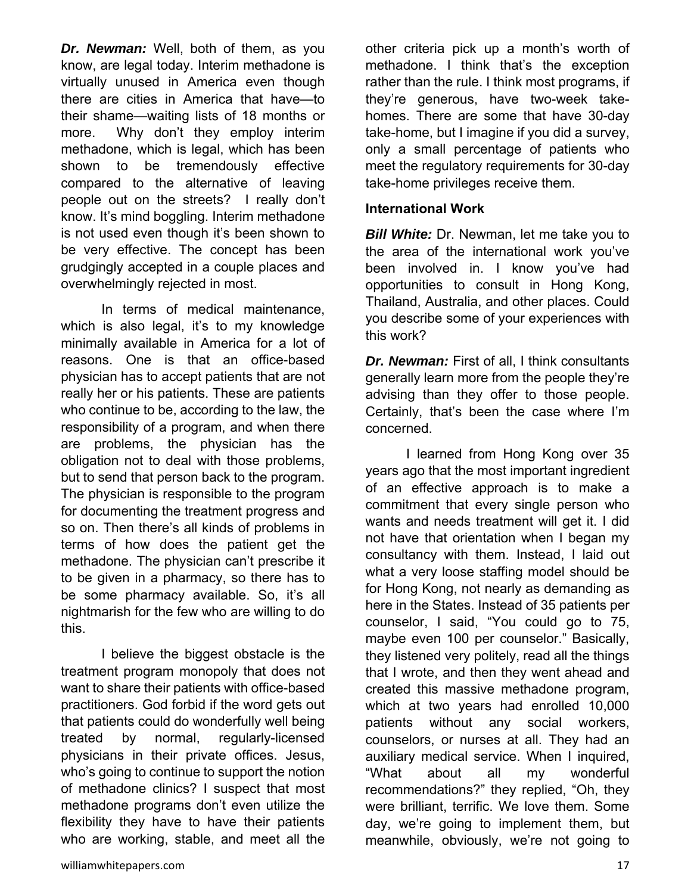*Dr. Newman:* Well, both of them, as you know, are legal today. Interim methadone is virtually unused in America even though there are cities in America that have—to their shame—waiting lists of 18 months or more. Why don't they employ interim methadone, which is legal, which has been shown to be tremendously effective compared to the alternative of leaving people out on the streets? I really don't know. It's mind boggling. Interim methadone is not used even though it's been shown to be very effective. The concept has been grudgingly accepted in a couple places and overwhelmingly rejected in most.

 In terms of medical maintenance, which is also legal, it's to my knowledge minimally available in America for a lot of reasons. One is that an office-based physician has to accept patients that are not really her or his patients. These are patients who continue to be, according to the law, the responsibility of a program, and when there are problems, the physician has the obligation not to deal with those problems, but to send that person back to the program. The physician is responsible to the program for documenting the treatment progress and so on. Then there's all kinds of problems in terms of how does the patient get the methadone. The physician can't prescribe it to be given in a pharmacy, so there has to be some pharmacy available. So, it's all nightmarish for the few who are willing to do this.

 I believe the biggest obstacle is the treatment program monopoly that does not want to share their patients with office-based practitioners. God forbid if the word gets out that patients could do wonderfully well being treated by normal, regularly-licensed physicians in their private offices. Jesus, who's going to continue to support the notion of methadone clinics? I suspect that most methadone programs don't even utilize the flexibility they have to have their patients who are working, stable, and meet all the

other criteria pick up a month's worth of methadone. I think that's the exception rather than the rule. I think most programs, if they're generous, have two-week takehomes. There are some that have 30-day take-home, but I imagine if you did a survey, only a small percentage of patients who meet the regulatory requirements for 30-day take-home privileges receive them.

#### **International Work**

*Bill White:* Dr. Newman, let me take you to the area of the international work you've been involved in. I know you've had opportunities to consult in Hong Kong, Thailand, Australia, and other places. Could you describe some of your experiences with this work?

*Dr. Newman:* First of all, I think consultants generally learn more from the people they're advising than they offer to those people. Certainly, that's been the case where I'm concerned.

 I learned from Hong Kong over 35 years ago that the most important ingredient of an effective approach is to make a commitment that every single person who wants and needs treatment will get it. I did not have that orientation when I began my consultancy with them. Instead, I laid out what a very loose staffing model should be for Hong Kong, not nearly as demanding as here in the States. Instead of 35 patients per counselor, I said, "You could go to 75, maybe even 100 per counselor." Basically, they listened very politely, read all the things that I wrote, and then they went ahead and created this massive methadone program, which at two years had enrolled 10,000 patients without any social workers, counselors, or nurses at all. They had an auxiliary medical service. When I inquired, "What about all my wonderful recommendations?" they replied, "Oh, they were brilliant, terrific. We love them. Some day, we're going to implement them, but meanwhile, obviously, we're not going to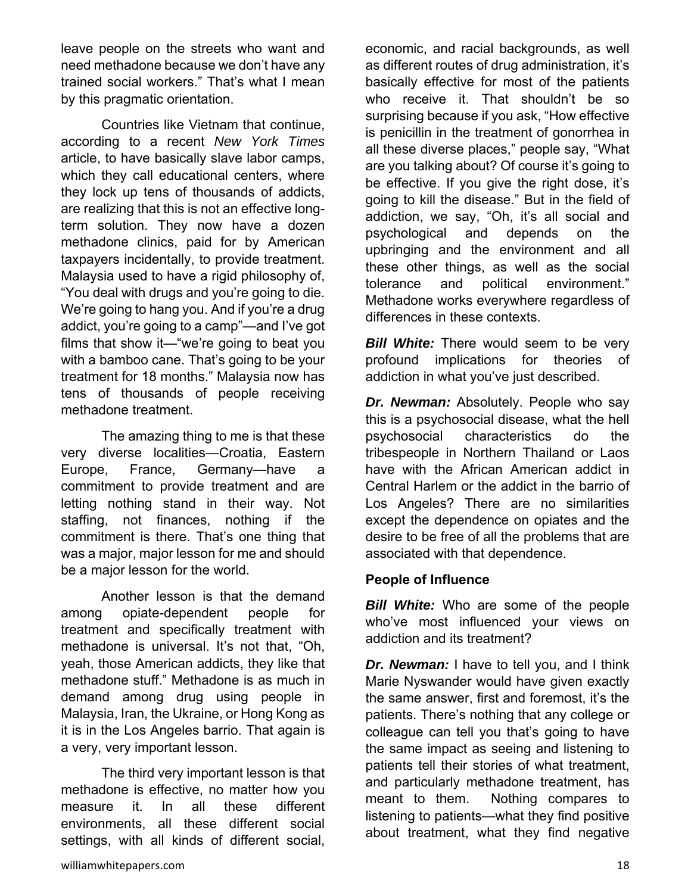leave people on the streets who want and need methadone because we don't have any trained social workers." That's what I mean by this pragmatic orientation.

 Countries like Vietnam that continue, according to a recent *New York Times* article, to have basically slave labor camps, which they call educational centers, where they lock up tens of thousands of addicts, are realizing that this is not an effective longterm solution. They now have a dozen methadone clinics, paid for by American taxpayers incidentally, to provide treatment. Malaysia used to have a rigid philosophy of, "You deal with drugs and you're going to die. We're going to hang you. And if you're a drug addict, you're going to a camp"—and I've got films that show it—"we're going to beat you with a bamboo cane. That's going to be your treatment for 18 months." Malaysia now has tens of thousands of people receiving methadone treatment.

 The amazing thing to me is that these very diverse localities—Croatia, Eastern Europe, France, Germany—have a commitment to provide treatment and are letting nothing stand in their way. Not staffing, not finances, nothing if the commitment is there. That's one thing that was a major, major lesson for me and should be a major lesson for the world.

 Another lesson is that the demand among opiate-dependent people for treatment and specifically treatment with methadone is universal. It's not that, "Oh, yeah, those American addicts, they like that methadone stuff." Methadone is as much in demand among drug using people in Malaysia, Iran, the Ukraine, or Hong Kong as it is in the Los Angeles barrio. That again is a very, very important lesson.

 The third very important lesson is that methadone is effective, no matter how you measure it. In all these different environments, all these different social settings, with all kinds of different social,

economic, and racial backgrounds, as well as different routes of drug administration, it's basically effective for most of the patients who receive it. That shouldn't be so surprising because if you ask, "How effective is penicillin in the treatment of gonorrhea in all these diverse places," people say, "What are you talking about? Of course it's going to be effective. If you give the right dose, it's going to kill the disease." But in the field of addiction, we say, "Oh, it's all social and psychological and depends on the upbringing and the environment and all these other things, as well as the social tolerance and political environment." Methadone works everywhere regardless of differences in these contexts.

*Bill White:* There would seem to be very profound implications for theories of addiction in what you've just described.

*Dr. Newman:* Absolutely. People who say this is a psychosocial disease, what the hell psychosocial characteristics do the tribespeople in Northern Thailand or Laos have with the African American addict in Central Harlem or the addict in the barrio of Los Angeles? There are no similarities except the dependence on opiates and the desire to be free of all the problems that are associated with that dependence.

#### **People of Influence**

*Bill White:* Who are some of the people who've most influenced your views on addiction and its treatment?

*Dr. Newman:* I have to tell you, and I think Marie Nyswander would have given exactly the same answer, first and foremost, it's the patients. There's nothing that any college or colleague can tell you that's going to have the same impact as seeing and listening to patients tell their stories of what treatment, and particularly methadone treatment, has meant to them. Nothing compares to listening to patients—what they find positive about treatment, what they find negative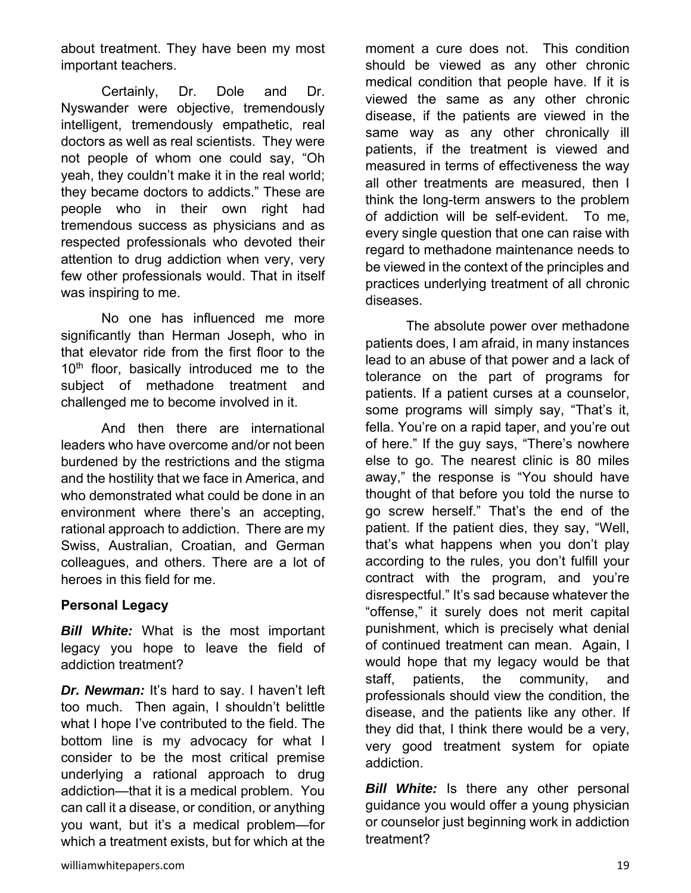about treatment. They have been my most important teachers.

 Certainly, Dr. Dole and Dr. Nyswander were objective, tremendously intelligent, tremendously empathetic, real doctors as well as real scientists. They were not people of whom one could say, "Oh yeah, they couldn't make it in the real world; they became doctors to addicts." These are people who in their own right had tremendous success as physicians and as respected professionals who devoted their attention to drug addiction when very, very few other professionals would. That in itself was inspiring to me.

 No one has influenced me more significantly than Herman Joseph, who in that elevator ride from the first floor to the 10<sup>th</sup> floor, basically introduced me to the subject of methadone treatment and challenged me to become involved in it.

 And then there are international leaders who have overcome and/or not been burdened by the restrictions and the stigma and the hostility that we face in America, and who demonstrated what could be done in an environment where there's an accepting, rational approach to addiction. There are my Swiss, Australian, Croatian, and German colleagues, and others. There are a lot of heroes in this field for me.

#### **Personal Legacy**

*Bill White:* What is the most important legacy you hope to leave the field of addiction treatment?

*Dr. Newman:* It's hard to say. I haven't left too much. Then again, I shouldn't belittle what I hope I've contributed to the field. The bottom line is my advocacy for what I consider to be the most critical premise underlying a rational approach to drug addiction—that it is a medical problem. You can call it a disease, or condition, or anything you want, but it's a medical problem—for which a treatment exists, but for which at the

moment a cure does not. This condition should be viewed as any other chronic medical condition that people have. If it is viewed the same as any other chronic disease, if the patients are viewed in the same way as any other chronically ill patients, if the treatment is viewed and measured in terms of effectiveness the way all other treatments are measured, then I think the long-term answers to the problem of addiction will be self-evident. To me, every single question that one can raise with regard to methadone maintenance needs to be viewed in the context of the principles and practices underlying treatment of all chronic diseases.

 The absolute power over methadone patients does, I am afraid, in many instances lead to an abuse of that power and a lack of tolerance on the part of programs for patients. If a patient curses at a counselor, some programs will simply say, "That's it, fella. You're on a rapid taper, and you're out of here." If the guy says, "There's nowhere else to go. The nearest clinic is 80 miles away," the response is "You should have thought of that before you told the nurse to go screw herself." That's the end of the patient. If the patient dies, they say, "Well, that's what happens when you don't play according to the rules, you don't fulfill your contract with the program, and you're disrespectful." It's sad because whatever the "offense," it surely does not merit capital punishment, which is precisely what denial of continued treatment can mean. Again, I would hope that my legacy would be that staff, patients, the community, and professionals should view the condition, the disease, and the patients like any other. If they did that, I think there would be a very, very good treatment system for opiate addiction.

*Bill White:* Is there any other personal guidance you would offer a young physician or counselor just beginning work in addiction treatment?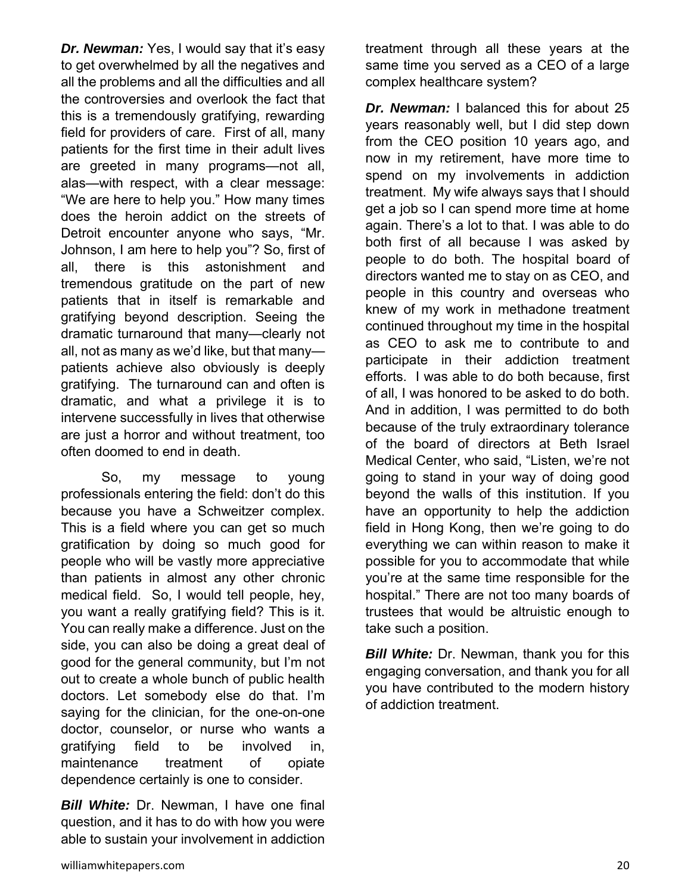*Dr. Newman:* Yes, I would say that it's easy to get overwhelmed by all the negatives and all the problems and all the difficulties and all the controversies and overlook the fact that this is a tremendously gratifying, rewarding field for providers of care. First of all, many patients for the first time in their adult lives are greeted in many programs—not all, alas—with respect, with a clear message: "We are here to help you." How many times does the heroin addict on the streets of Detroit encounter anyone who says, "Mr. Johnson, I am here to help you"? So, first of all, there is this astonishment and tremendous gratitude on the part of new patients that in itself is remarkable and gratifying beyond description. Seeing the dramatic turnaround that many—clearly not all, not as many as we'd like, but that many patients achieve also obviously is deeply gratifying. The turnaround can and often is dramatic, and what a privilege it is to intervene successfully in lives that otherwise are just a horror and without treatment, too often doomed to end in death.

 So, my message to young professionals entering the field: don't do this because you have a Schweitzer complex. This is a field where you can get so much gratification by doing so much good for people who will be vastly more appreciative than patients in almost any other chronic medical field. So, I would tell people, hey, you want a really gratifying field? This is it. You can really make a difference. Just on the side, you can also be doing a great deal of good for the general community, but I'm not out to create a whole bunch of public health doctors. Let somebody else do that. I'm saying for the clinician, for the one-on-one doctor, counselor, or nurse who wants a gratifying field to be involved in, maintenance treatment of opiate dependence certainly is one to consider.

*Bill White:* Dr. Newman, I have one final question, and it has to do with how you were able to sustain your involvement in addiction

treatment through all these years at the same time you served as a CEO of a large complex healthcare system?

*Dr. Newman:* I balanced this for about 25 years reasonably well, but I did step down from the CEO position 10 years ago, and now in my retirement, have more time to spend on my involvements in addiction treatment. My wife always says that I should get a job so I can spend more time at home again. There's a lot to that. I was able to do both first of all because I was asked by people to do both. The hospital board of directors wanted me to stay on as CEO, and people in this country and overseas who knew of my work in methadone treatment continued throughout my time in the hospital as CEO to ask me to contribute to and participate in their addiction treatment efforts. I was able to do both because, first of all, I was honored to be asked to do both. And in addition, I was permitted to do both because of the truly extraordinary tolerance of the board of directors at Beth Israel Medical Center, who said, "Listen, we're not going to stand in your way of doing good beyond the walls of this institution. If you have an opportunity to help the addiction field in Hong Kong, then we're going to do everything we can within reason to make it possible for you to accommodate that while you're at the same time responsible for the hospital." There are not too many boards of trustees that would be altruistic enough to take such a position.

*Bill White: Dr. Newman, thank you for this* engaging conversation, and thank you for all you have contributed to the modern history of addiction treatment.